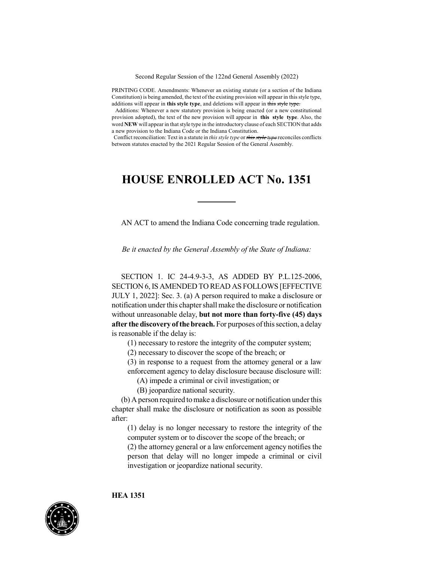Second Regular Session of the 122nd General Assembly (2022)

PRINTING CODE. Amendments: Whenever an existing statute (or a section of the Indiana Constitution) is being amended, the text of the existing provision will appear in this style type, additions will appear in **this style type**, and deletions will appear in this style type.

Additions: Whenever a new statutory provision is being enacted (or a new constitutional provision adopted), the text of the new provision will appear in **this style type**. Also, the word **NEW** will appear in that style type in the introductory clause of each SECTION that adds a new provision to the Indiana Code or the Indiana Constitution.

Conflict reconciliation: Text in a statute in *this style type* or *this style type* reconciles conflicts between statutes enacted by the 2021 Regular Session of the General Assembly.

## **HOUSE ENROLLED ACT No. 1351**

AN ACT to amend the Indiana Code concerning trade regulation.

*Be it enacted by the General Assembly of the State of Indiana:*

SECTION 1. IC 24-4.9-3-3, AS ADDED BY P.L.125-2006, SECTION 6,IS AMENDED TO READ AS FOLLOWS [EFFECTIVE JULY 1, 2022]: Sec. 3. (a) A person required to make a disclosure or notification under this chapter shall make the disclosure or notification without unreasonable delay, **but not more than forty-five (45) days after the discovery of the breach.** For purposes of this section, a delay is reasonable if the delay is:

(1) necessary to restore the integrity of the computer system;

- (2) necessary to discover the scope of the breach; or
- (3) in response to a request from the attorney general or a law
- enforcement agency to delay disclosure because disclosure will:

(A) impede a criminal or civil investigation; or

(B) jeopardize national security.

(b) Aperson required tomake a disclosure or notification underthis chapter shall make the disclosure or notification as soon as possible after:

(1) delay is no longer necessary to restore the integrity of the computer system or to discover the scope of the breach; or (2) the attorney general or a law enforcement agency notifies the person that delay will no longer impede a criminal or civil investigation or jeopardize national security.



**HEA 1351**